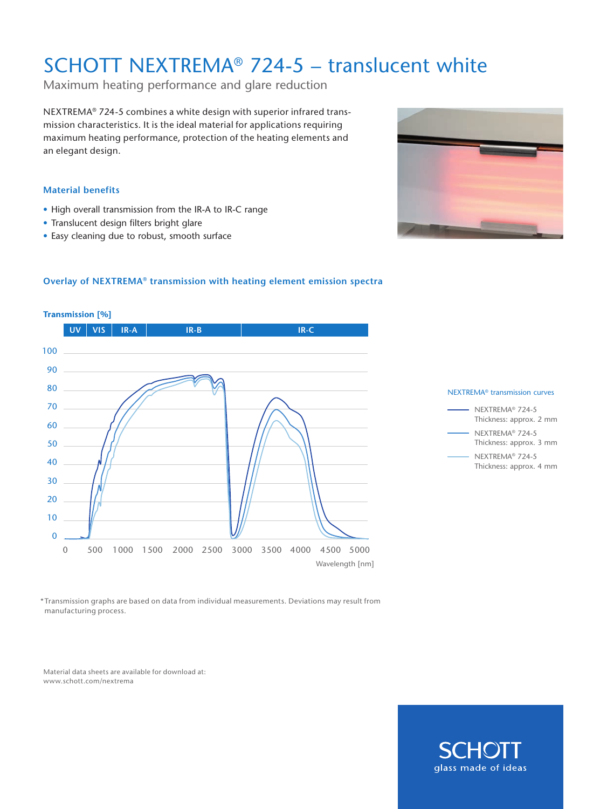# SCHOTT NEXTREMA® 724-5 – translucent white

Maximum heating performance and glare reduction

NEXTREMA® 724-5 combines a white design with superior infrared transmission characteristics. It is the ideal material for applications requiring maximum heating performance, protection of the heating elements and an elegant design.

#### **Material benefits**

- High overall transmission from the IR-A to IR-C range
- Translucent design filters bright glare
- Easy cleaning due to robust, smooth surface



#### **Overlay of NEXTREMA® transmission with heating element emission spectra**







\*Transmission graphs are based on data from individual measurements. Deviations may result from manufacturing process.

Material data sheets are available for download at: www.schott.com/nextrema